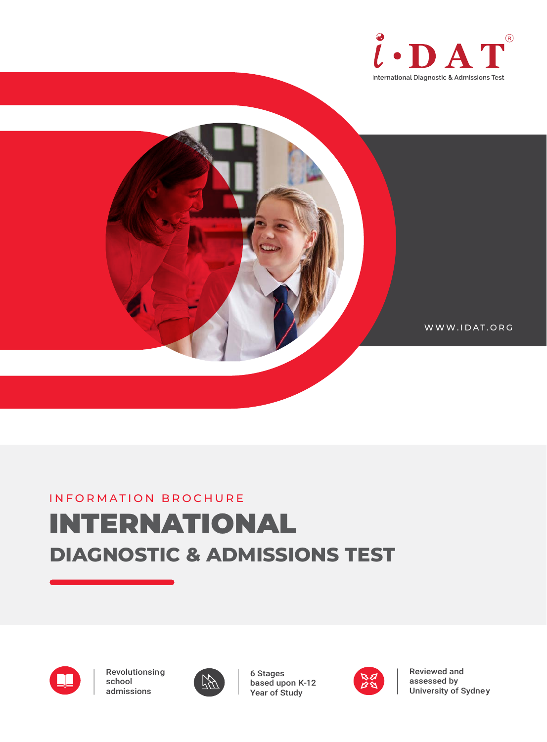



WWW.IDAT.ORG

# **DIAGNOSTIC & ADMISSIONS TEST** INFORMATION BROCHURE INTERNATIONAL



Revolutionsing school admissions



6 Stages based upon K-12 Year of Study



Reviewed and assessed by University of Sydney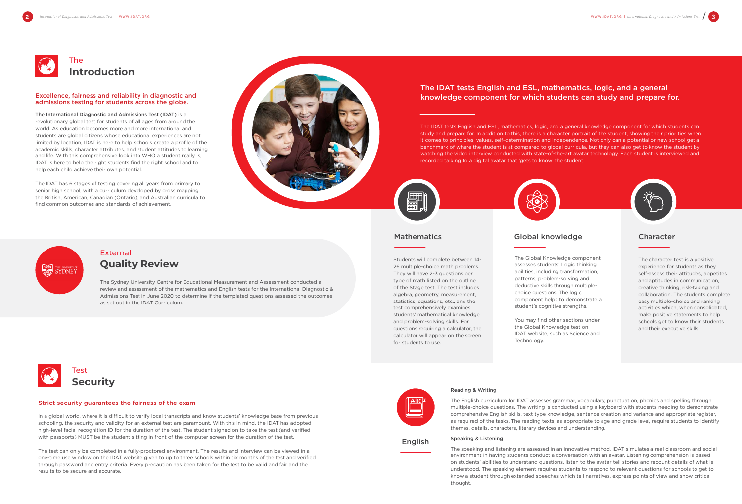# External **Quality Review**





The International Diagnostic and Admissions Test (IDAT) is a revolutionary global test for students of all ages from around the world. As education becomes more and more international and students are global citizens whose educational experiences are not limited by location, IDAT is here to help schools create a profile of the academic skills, character attributes, and student attitudes to learning and life. With this comprehensive look into WHO a student really is, IDAT is here to help the right students find the right school and to help each child achieve their own potential.

The IDAT has 6 stages of testing covering all years from primary to senior high school, with a curriculum developed by cross mapping the British, American, Canadian (Ontario), and Australian curricula to find common outcomes and standards of achievement.



### Excellence, fairness and reliability in diagnostic and admissions testing for students across the globe.

### Strict security guarantees the fairness of the exam

The Sydney University Centre for Educational Measurement and Assessment conducted a review and assessment of the mathematics and English tests for the International Diagnostic & Admissions Test in June 2020 to determine if the templated questions assessed the outcomes as set out in the IDAT Curriculum.

In a global world, where it is difficult to verify local transcripts and know students' knowledge base from previous schooling, the security and validity for an external test are paramount. With this in mind, the IDAT has adopted high-level facial recognition ID for the duration of the test. The student signed on to take the test (and verified with passports) MUST be the student sitting in front of the computer screen for the duration of the test.

The test can only be completed in a fully-proctored environment. The results and interview can be viewed in a one-time use window on the IDAT website given to up to three schools within six months of the test and verified through password and entry criteria. Every precaution has been taken for the test to be valid and fair and the results to be secure and accurate.



### English

## Mathematics Global knowledge Character

The IDAT tests English and ESL, mathematics, logic, and a general knowledge component for which students can study and prepare for. In addition to this, there is a character portrait of the student, showing their priorities when it comes to principles, values, self-determination and independence. Not only can a potential or new school get a benchmark of where the student is at compared to global curricula, but they can also get to know the student by watching the video interview conducted with state-of-the-art avatar technology. Each student is interviewed and recorded talking to a digital avatar that 'gets to know' the student.



## The IDAT tests English and ESL, mathematics, logic, and a general knowledge component for which students can study and prepare for.

Reading & Writing

The English curriculum for IDAT assesses grammar, vocabulary, punctuation, phonics and spelling through multiple-choice questions. The writing is conducted using a keyboard with students needing to demonstrate comprehensive English skills, text type knowledge, sentence creation and variance and appropriate register, as required of the tasks. The reading texts, as appropriate to age and grade level, require students to identify themes, details, characters, literary devices and understanding.

Speaking & Listening

The speaking and listening are assessed in an innovative method. IDAT simulates a real classroom and social environment in having students conduct a conversation with an avatar. Listening comprehension is based on students' abilities to understand questions, listen to the avatar tell stories and recount details of what is understood. The speaking element requires students to respond to relevant questions for schools to get to know a student through extended speeches which tell narratives, express points of view and show critical thought.





Students will complete between 14- 26 multiple-choice math problems. They will have 2-3 questions per type of math listed on the outline of the Stage test. The test includes algebra, geometry, measurement, statistics, equations, etc., and the test comprehensively examines students' mathematical knowledge and problem-solving skills. For questions requiring a calculator, the calculator will appear on the screen for students to use.

The character test is a positive experience for students as they self-assess their attitudes, appetites and aptitudes in communication, creative thinking, risk-taking and collaboration. The students complete easy multiple-choice and ranking activities which, when consolidated, make positive statements to help schools get to know their students and their executive skills.

The Global Knowledge component assesses students' Logic thinking abilities, including transformation, patterns, problem-solving and deductive skills through multiplechoice questions. The logic component helps to demonstrate a student's cognitive strengths.

You may find other sections under the Global Knowledge test on IDAT website, such as Science and Technology.

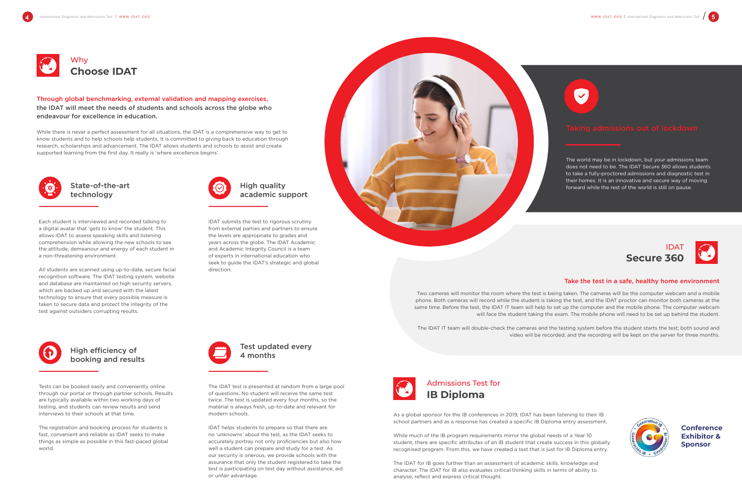





Through global benchmarking, external validation and mapping exercises, the IDAT will meet the needs of students and schools across the globe who endeavour for excellence in education.

While there is never a perfect assessment for all situations, the IDAT is a comprehensive way to get to know students and to help schools help students. It is committed to giving back to education through research, scholarships and advancement. The IDAT allows students and schools to assist and create supported learning from the first day. It really is 'where excellence begins'.



Each student is interviewed and recorded talking to a digital avatar that 'gets to know' the student. This allows IDAT to assess speaking skills and listening comprehension while allowing the new schools to see the attitude, demeanour and energy of each student in a non-threatening environment.

All students are scanned using up-to-date, secure facial recognition software. The IDAT testing system, website and database are maintained on high security servers, which are backed up and secured with the latest technology to ensure that every possible measure is taken to secure data and protect the integrity of the test against outsiders corrupting results.



As a global sponsor for the IB conferences in 2019, IDAT has been listening to their IB school partners and as a response has created a specific IB Diploma entry assessment.

While much of the IB program requirements mirror the global needs of a Year 10 student, there are specific attributes of an IB student that create success in this globally recognised program. From this, we have created a test that is just for IB Diploma entry.

The IDAT for IB goes further than an assessment of academic skills, knowledge and character. The IDAT for IB also evaluates critical thinking skills in terms of ability to analyse, reflect and express critical thought.





Tests can be booked easily and conveniently online through our portal or through partner schools. Results are typically available within two working days of testing, and students can review results and send interviews to their schools at that time.

The registration and booking process for students is fast, convenient and reliable as IDAT seeks to make things as simple as possible in this fast-paced global world.



The IDAT test is presented at random from a large pool of questions. No student will receive the same test twice. The test is updated every four months, so the material is always fresh, up-to-date and relevant for modern schools.

IDAT helps students to prepare so that there are no 'unknowns' about the test, as the IDAT seeks to accurately portray not only proficiencies but also how well a student can prepare and study for a test. As our security is onerous, we provide schools with the assurance that only the student registered to take the test is participating on test day without assistance, aid or unfair advantage.



State-of-the-art technology

## High efficiency of booking and results

Test updated every 4 months

IDAT submits the test to rigorous scrutiny from external parties and partners to ensure the levels are appropriate to grades and years across the globe. The IDAT Academic and Academic Integrity Council is a team of experts in international education who seek to guide the IDAT's strategic and global direction.



The world may be in lockdown, but your admissions team does not need to be. The IDAT Secure 360 allows students to take a fully-proctored admissions and diagnostic test in their homes. It is an innovative and secure way of moving forward while the rest of the world is still on pause.

# High quality academic support

### Take the test in a safe, healthy home environment



Two cameras will monitor the room where the test is being taken. The cameras will be the computer webcam and a mobile phone. Both cameras will record while the student is taking the test, and the IDAT proctor can monitor both cameras at the same time. Before the test, the IDAT IT team will help to set up the computer and the mobile phone. The computer webcam will face the student taking the exam. The mobile phone will need to be set up behind the student.

The IDAT IT team will double-check the cameras and the testing system before the student starts the test; both sound and video will be recorded, and the recording will be kept on the server for three months.

> **Conference Exhibitor & Sponsor**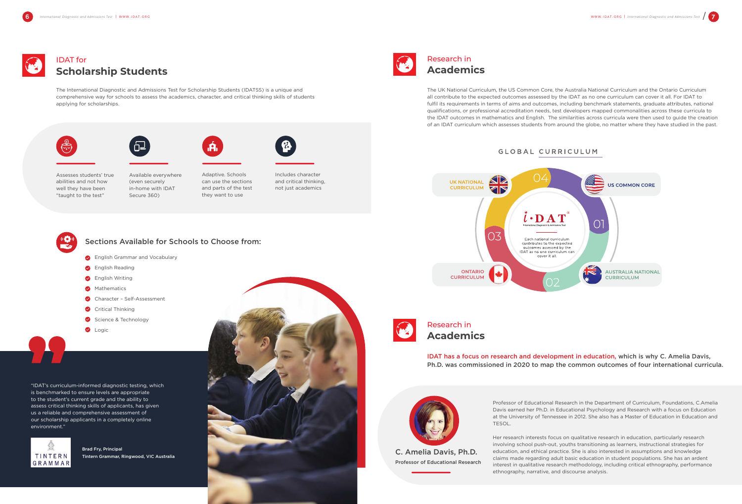# IDAT for **Scholarship Students**



# Research in **Academics**



The International Diagnostic and Admissions Test for Scholarship Students (IDATSS) is a unique and comprehensive way for schools to assess the academics, character, and critical thinking skills of students applying for scholarships.







The UK National Curriculum, the US Common Core, the Australia National Curriculum and the Ontario Curriculum all contribute to the expected outcomes assessed by the IDAT as no one curriculum can cover it all. For IDAT to fulfil its requirements in terms of aims and outcomes, including benchmark statements, graduate attributes, national qualifications, or professional accreditation needs, test developers mapped commonalities across these curricula to the IDAT outcomes in mathematics and English. The similarities across curricula were then used to guide the creation of an IDAT curriculum which assesses students from around the globe, no matter where they have studied in the past.

## GLOBAL CURRICULUM







Available everywhere (even securely in-home with IDAT Secure 360)



can use the sections and parts of the test they want to use



and critical thinking, not just academics



Professor of Educational Research in the Department of Curriculum, Foundations, C.Amelia Davis earned her Ph.D. in Educational Psychology and Research with a focus on Education at the University of Tennessee in 2012. She also has a Master of Education in Education and TESOL.

Her research interests focus on qualitative research in education, particularly research involving school push-out, youths transitioning as learners, instructional strategies for education, and ethical practice. She is also interested in assumptions and knowledge claims made regarding adult basic education in student populations. She has an ardent interest in qualitative research methodology, including critical ethnography, performance ethnography, narrative, and discourse analysis.



## Sections Available for Schools to Choose from:

- **Brand** English Grammar and Vocabulary
- **C** English Reading
- **B** English Writing
- **Mathematics**
- Character Self-Assessment
- Critical Thinking
- Science & Technology
- **O** Logic

C. Amelia Davis, Ph.D. Professor of Educational Research

## IDAT has a focus on research and development in education, which is why C. Amelia Davis, Ph.D. was commissioned in 2020 to map the common outcomes of four international curricula.

"IDAT's curriculum-informed diagnostic testing, which is benchmarked to ensure levels are appropriate to the student's current grade and the ability to assess critical thinking skills of applicants, has given us a reliable and comprehensive assessment of our scholarship applicants in a completely online environment."



Brad Fry, Principal Tintern Grammar, Ringwood, VIC Australia

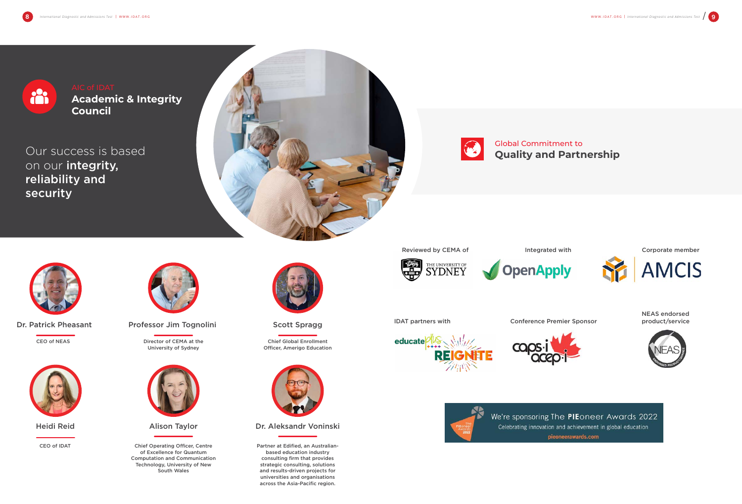Our success is based on our integrity, reliability and security





CEO of NEAS Director of CEMA at the University of Sydney



Partner at Edified, an Australianbased education industry consulting firm that provides strategic consulting, solutions and results-driven projects for universities and organisations across the Asia-Pacific region.

Reviewed by CEMA of The Integrated with





IDAT partners with **Conference Premier Sponsor** product/service











CEO of IDAT



Dr. Patrick Pheasant Professor Jim Tognolini

Alison Taylor

Chief Operating Officer, Centre of Excellence for Quantum Computation and Communication Technology, University of New South Wales



Scott Spragg

Chief Global Enrollment Officer, Amerigo Education



Heidi Reid **Nation 2018** Alison Taylor **National Dr. Aleksandr Voninski** 



**Academic & Integrity Council**

> Global Commitment to **Quality and Partnership**









We're sponsoring The PIEoneer Awards 2022 Celebrating innovation and achievement in global education pieoneerawards.com

Corporate member



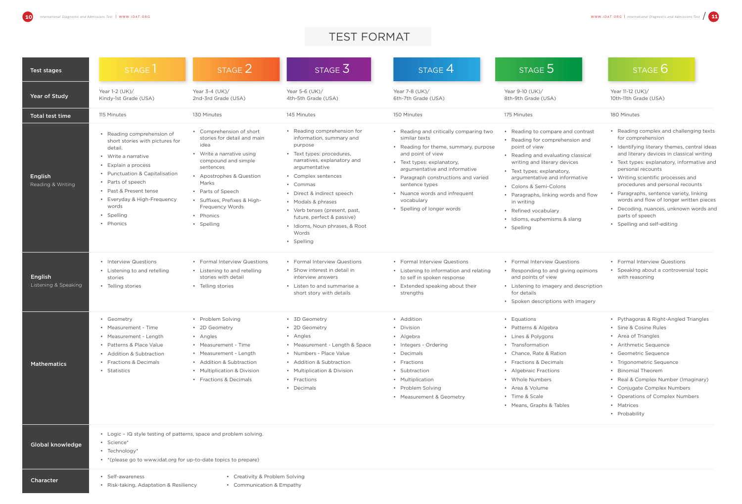| Test stages                     | STAGE                                                                                                                                                                                                                                                                      | STAGE 2                                                                                                                                                                                                                                                                         | STAGE $3^{\circ}$                                                                                                                                                                                                                                                                                                                                              | STAGE 4                                                                                                                                                                                                                                                                                                                     | STAGE 5                                                                                                                                                                                                                                                                                                                                                                          | STAGE 6                                                                                                                                                                                                                                                                                                                                                                                                                                                                                  |
|---------------------------------|----------------------------------------------------------------------------------------------------------------------------------------------------------------------------------------------------------------------------------------------------------------------------|---------------------------------------------------------------------------------------------------------------------------------------------------------------------------------------------------------------------------------------------------------------------------------|----------------------------------------------------------------------------------------------------------------------------------------------------------------------------------------------------------------------------------------------------------------------------------------------------------------------------------------------------------------|-----------------------------------------------------------------------------------------------------------------------------------------------------------------------------------------------------------------------------------------------------------------------------------------------------------------------------|----------------------------------------------------------------------------------------------------------------------------------------------------------------------------------------------------------------------------------------------------------------------------------------------------------------------------------------------------------------------------------|------------------------------------------------------------------------------------------------------------------------------------------------------------------------------------------------------------------------------------------------------------------------------------------------------------------------------------------------------------------------------------------------------------------------------------------------------------------------------------------|
| Year of Study                   | Year 1-2 (UK)/<br>Kindy-1st Grade (USA)                                                                                                                                                                                                                                    | Year 3-4 (UK)/<br>2nd-3rd Grade (USA)                                                                                                                                                                                                                                           | Year 5-6 $(UK)$<br>4th-5th Grade (USA)                                                                                                                                                                                                                                                                                                                         | Year 7-8 (UK)/<br>6th-7th Grade (USA)                                                                                                                                                                                                                                                                                       | Year 9-10 (UK)/<br>8th-9th Grade (USA)                                                                                                                                                                                                                                                                                                                                           | Year 11-12 (UK)/<br>10th-11th Grade (USA)                                                                                                                                                                                                                                                                                                                                                                                                                                                |
| Total test time                 | 115 Minutes                                                                                                                                                                                                                                                                | 130 Minutes                                                                                                                                                                                                                                                                     | 145 Minutes                                                                                                                                                                                                                                                                                                                                                    | 150 Minutes                                                                                                                                                                                                                                                                                                                 | 175 Minutes                                                                                                                                                                                                                                                                                                                                                                      | 180 Minutes                                                                                                                                                                                                                                                                                                                                                                                                                                                                              |
| English<br>Reading & Writing    | • Reading comprehension of<br>short stories with pictures for<br>detail.<br>• Write a narrative<br>• Explain a process<br>• Punctuation & Capitalisation<br>• Parts of speech<br>• Past & Present tense<br>• Everyday & High-Frequency<br>words<br>· Spelling<br>• Phonics | • Comprehension of short<br>stories for detail and main<br>idea<br>• Write a narrative using<br>compound and simple<br>sentences<br>• Apostrophes & Question<br>Marks<br>• Parts of Speech<br>· Suffixes, Prefixes & High-<br><b>Frequency Words</b><br>• Phonics<br>• Spelling | • Reading comprehension for<br>information, summary and<br>purpose<br>• Text types: procedures,<br>narratives, explanatory and<br>argumentative<br>• Complex sentences<br>• Commas<br>• Direct & indirect speech<br>• Modals & phrases<br>• Verb tenses (present, past,<br>future, perfect & passive)<br>• Idioms, Noun phrases, & Root<br>Words<br>• Spelling | • Reading and critically comparing two<br>similar texts<br>• Reading for theme, summary, purpose<br>and point of view<br>• Text types: explanatory,<br>argumentative and informative<br>• Paragraph constructions and varied<br>sentence types<br>• Nuance words and infrequent<br>vocabulary<br>• Spelling of longer words | • Reading to compare and contrast<br>• Reading for comprehension and<br>point of view<br>• Reading and evaluating classical<br>writing and literary devices<br>• Text types: explanatory,<br>argumentative and informative<br>• Colons & Semi-Colons<br>• Paragraphs, linking words and flow<br>in writing<br>• Refined vocabulary<br>· Idioms, euphemisms & slang<br>• Spelling | • Reading complex and challenging texts<br>for comprehension<br>• Identifying literary themes, central ideas<br>and literary devices in classical writing<br>• Text types: explanatory, informative and<br>personal recounts<br>• Writing scientific processes and<br>procedures and personal recounts<br>• Paragraphs, sentence variety, linking<br>words and flow of longer written pieces<br>• Decoding, nuances, unknown words and<br>parts of speech<br>• Spelling and self-editing |
| English<br>Listening & Speaking | • Interview Questions<br>• Listening to and retelling<br>stories<br>• Telling stories                                                                                                                                                                                      | • Formal Interview Questions<br>• Listening to and retelling<br>stories with detail<br>• Telling stories                                                                                                                                                                        | • Formal Interview Questions<br>• Show interest in detail in<br>interview answers<br>• Listen to and summarise a<br>short story with details                                                                                                                                                                                                                   | • Formal Interview Questions<br>• Listening to information and relating<br>to self in spoken response<br>• Extended speaking about their<br>strengths                                                                                                                                                                       | • Formal Interview Questions<br>• Responding to and giving opinions<br>and points of view<br>• Listening to imagery and description<br>for details<br>• Spoken descriptions with imagery                                                                                                                                                                                         | • Formal Interview Questions<br>• Speaking about a controversial topic<br>with reasoning                                                                                                                                                                                                                                                                                                                                                                                                 |
| <b>Mathematics</b>              | • Geometry<br>• Measurement - Time<br>• Measurement - Length<br>• Patterns & Place Value<br>• Addition & Subtraction<br>• Fractions & Decimals<br>• Statistics                                                                                                             | • Problem Solving<br>• 2D Geometry<br>• Angles<br>• Measurement - Time<br>• Measurement - Length<br>• Addition & Subtraction<br>• Multiplication & Division<br>• Fractions & Decimals                                                                                           | • 3D Geometry<br>• 2D Geometry<br>• Angles<br>• Measurement - Length & Space<br>• Numbers - Place Value<br>• Addition & Subtraction<br>• Multiplication & Division<br>• Fractions<br>• Decimals                                                                                                                                                                | • Addition<br>• Division<br>• Algebra<br>• Integers - Ordering<br>• Decimals<br>• Fractions<br>• Subtraction<br>• Multiplication<br>• Problem Solving<br>• Measurement & Geometry                                                                                                                                           | • Equations<br>• Patterns & Algebra<br>• Lines & Polygons<br>• Transformation<br>• Chance, Rate & Ration<br>• Fractions & Decimals<br>• Algebraic Fractions<br>• Whole Numbers<br>• Area & Volume<br>• Time & Scale<br>• Means, Graphs & Tables                                                                                                                                  | • Pythagoras & Right-Angled Triangles<br>• Sine & Cosine Rules<br>• Area of Triangles<br>• Arithmetic Sequence<br>• Geometric Sequence<br>• Trigonometric Sequence<br>• Binomial Theorem<br>• Real & Complex Number (Imaginary)<br>• Conjugate Complex Numbers<br>• Operations of Complex Numbers<br>• Matrices<br>• Probability                                                                                                                                                         |
| <b>Global knowledge</b>         | • Logic - IQ style testing of patterns, space and problem solving.<br>• Science*<br>$\cdot$ Technology*<br>• * (please go to www.idat.org for up-to-date topics to prepare)                                                                                                |                                                                                                                                                                                                                                                                                 |                                                                                                                                                                                                                                                                                                                                                                |                                                                                                                                                                                                                                                                                                                             |                                                                                                                                                                                                                                                                                                                                                                                  |                                                                                                                                                                                                                                                                                                                                                                                                                                                                                          |
| <b>Character</b>                | Self-awareness<br>• Risk-taking, Adaptation & Resiliency                                                                                                                                                                                                                   | • Creativity & Problem Solving<br>• Communication & Empathy                                                                                                                                                                                                                     |                                                                                                                                                                                                                                                                                                                                                                |                                                                                                                                                                                                                                                                                                                             |                                                                                                                                                                                                                                                                                                                                                                                  |                                                                                                                                                                                                                                                                                                                                                                                                                                                                                          |



| STAGE $6$ |  |
|-----------|--|
|           |  |

# TEST FORMAT